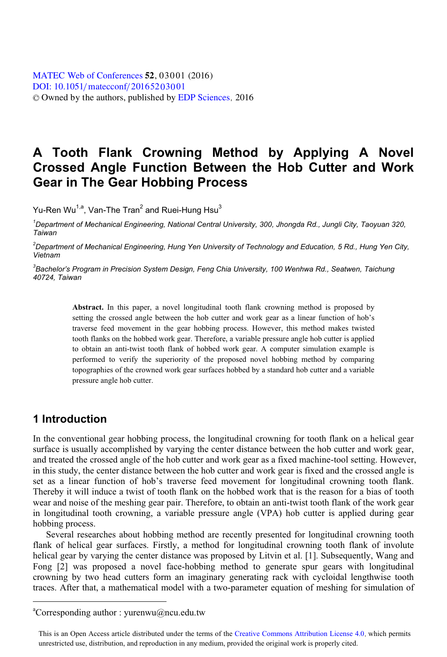# **A Tooth Flank Crowning Method by Applying A Novel Crossed Angle Function Between the Hob Cutter and Work Gear in The Gear Hobbing Process**

Yu-Ren Wu<sup>1,a</sup>, Van-The Tran $^2$  and Ruei-Hung Hsu $^3$ 

*1 Department of Mechanical Engineering, National Central University, 300, Jhongda Rd., Jungli City, Taoyuan 320, Taiwan* 

*2 Department of Mechanical Engineering, Hung Yen University of Technology and Education, 5 Rd., Hung Yen City, Vietnam* 

*3 Bachelor's Program in Precision System Design, Feng Chia University, 100 Wenhwa Rd., Seatwen, Taichung 40724, Taiwan* 

> **Abstract.** In this paper, a novel longitudinal tooth flank crowning method is proposed by setting the crossed angle between the hob cutter and work gear as a linear function of hob's traverse feed movement in the gear hobbing process. However, this method makes twisted tooth flanks on the hobbed work gear. Therefore, a variable pressure angle hob cutter is applied to obtain an anti-twist tooth flank of hobbed work gear. A computer simulation example is performed to verify the superiority of the proposed novel hobbing method by comparing topographies of the crowned work gear surfaces hobbed by a standard hob cutter and a variable pressure angle hob cutter.

#### **1 Introduction**

 $\overline{a}$ 

In the conventional gear hobbing process, the longitudinal crowning for tooth flank on a helical gear surface is usually accomplished by varying the center distance between the hob cutter and work gear, and treated the crossed angle of the hob cutter and work gear as a fixed machine-tool setting. However, in this study, the center distance between the hob cutter and work gear is fixed and the crossed angle is set as a linear function of hob's traverse feed movement for longitudinal crowning tooth flank. Thereby it will induce a twist of tooth flank on the hobbed work that is the reason for a bias of tooth wear and noise of the meshing gear pair. Therefore, to obtain an anti-twist tooth flank of the work gear in longitudinal tooth crowning, a variable pressure angle (VPA) hob cutter is applied during gear hobbing process.

Several researches about hobbing method are recently presented for longitudinal crowning tooth flank of helical gear surfaces. Firstly, a method for longitudinal crowning tooth flank of involute helical gear by varying the center distance was proposed by Litvin et al. [1]. Subsequently, Wang and Fong [2] was proposed a novel face-hobbing method to generate spur gears with longitudinal crowning by two head cutters form an imaginary generating rack with cycloidal lengthwise tooth traces. After that, a mathematical model with a two-parameter equation of meshing for simulation of

a Corresponding author : yurenwu@ncu.edu.tw

This is an Open Access article distributed under the terms of the Creative Commons Attribution License 4.0, which permits unrestricted use, distribution, and reproduction in any medium, provided the original work is properly cited.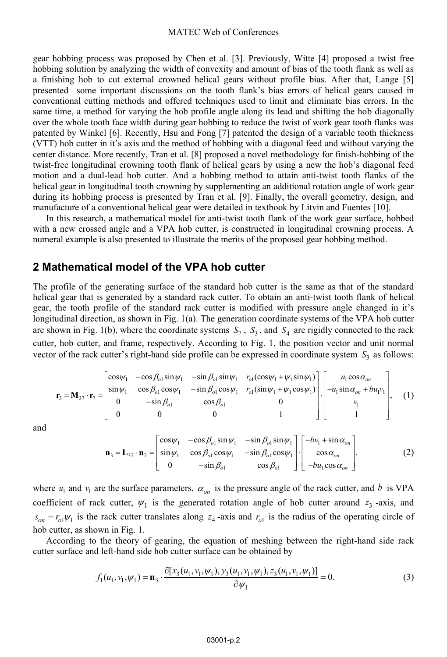gear hobbing process was proposed by Chen et al. [3]. Previously, Witte [4] proposed a twist free hobbing solution by analyzing the width of convexity and amount of bias of the tooth flank as well as a finishing hob to cut external crowned helical gears without profile bias. After that, Lange [5] presented some important discussions on the tooth flank's bias errors of helical gears caused in conventional cutting methods and offered techniques used to limit and eliminate bias errors. In the same time, a method for varying the hob profile angle along its lead and shifting the hob diagonally over the whole tooth face width during gear hobbing to reduce the twist of work gear tooth flanks was patented by Winkel [6]. Recently, Hsu and Fong [7] patented the design of a variable tooth thickness (VTT) hob cutter in it's axis and the method of hobbing with a diagonal feed and without varying the center distance. More recently, Tran et al. [8] proposed a novel methodology for finish-hobbing of the twist-free longitudinal crowning tooth flank of helical gears by using a new the hob's diagonal feed motion and a dual-lead hob cutter. And a hobbing method to attain anti-twist tooth flanks of the helical gear in longitudinal tooth crowning by supplementing an additional rotation angle of work gear during its hobbing process is presented by Tran et al. [9]. Finally, the overall geometry, design, and manufacture of a conventional helical gear were detailed in textbook by Litvin and Fuentes [10].

In this research, a mathematical model for anti-twist tooth flank of the work gear surface, hobbed with a new crossed angle and a VPA hob cutter, is constructed in longitudinal crowning process. A numeral example is also presented to illustrate the merits of the proposed gear hobbing method.

#### **2 Mathematical model of the VPA hob cutter**

The profile of the generating surface of the standard hob cutter is the same as that of the standard helical gear that is generated by a standard rack cutter. To obtain an anti-twist tooth flank of helical gear, the tooth profile of the standard rack cutter is modified with pressure angle changed in it's longitudinal direction, as shown in Fig. 1(a). The generation coordinate systems of the VPA hob cutter are shown in Fig. 1(b), where the coordinate systems  $S_7$ ,  $S_3$ , and  $S_4$  are rigidly connected to the rack cutter, hob cutter, and frame, respectively. According to Fig. 1, the position vector and unit normal vector of the rack cutter's right-hand side profile can be expressed in coordinate system  $S_3$  as follows:

$$
\mathbf{r}_{3} = \mathbf{M}_{37} \cdot \mathbf{r}_{7} = \begin{bmatrix} \cos \psi_{1} & -\cos \beta_{o1} \sin \psi_{1} & -\sin \beta_{o1} \sin \psi_{1} & r_{o1}(\cos \psi_{1} + \psi_{1} \sin \psi_{1}) \\ \sin \psi_{1} & \cos \beta_{o1} \cos \psi_{1} & -\sin \beta_{o1} \cos \psi_{1} & r_{o1}(\sin \psi_{1} + \psi_{1} \cos \psi_{1}) \\ 0 & -\sin \beta_{o1} & \cos \beta_{o1} & 0 \\ 0 & 0 & 0 & 1 \end{bmatrix} \begin{bmatrix} u_{1} \cos \alpha_{on} \\ -u_{1} \sin \alpha_{on} + bu_{1}v_{1} \\ -u_{1} \sin \alpha_{on} + bu_{1}v_{1} \\ v_{1} & 1 \end{bmatrix}, \quad (1)
$$

and

$$
\mathbf{n}_3 = \mathbf{L}_{37} \cdot \mathbf{n}_7 = \begin{bmatrix} \cos \psi_1 & -\cos \beta_{o1} \sin \psi_1 & -\sin \beta_{o1} \sin \psi_1 \\ \sin \psi_1 & \cos \beta_{o1} \cos \psi_1 & -\sin \beta_{o1} \cos \psi_1 \\ 0 & -\sin \beta_{o1} & \cos \beta_{o1} \end{bmatrix} \cdot \begin{bmatrix} -bv_1 + \sin \alpha_{on} \\ \cos \alpha_{on} \\ -bu_1 \cos \alpha_{on} \end{bmatrix} . \tag{2}
$$

where  $u_1$  and  $v_1$  are the surface parameters,  $\alpha_{on}$  is the pressure angle of the rack cutter, and *b* is VPA coefficient of rack cutter,  $\psi_1$  is the generated rotation angle of hob cutter around  $z_3$ -axis, and  $s_{on} = r_{ol} \psi_1$  is the rack cutter translates along  $z_4$ -axis and  $r_{ol}$  is the radius of the operating circle of hob cutter, as shown in Fig. 1.

According to the theory of gearing, the equation of meshing between the right-hand side rack cutter surface and left-hand side hob cutter surface can be obtained by

$$
f_1(u_1, v_1, \psi_1) = \mathbf{n}_3 \cdot \frac{\partial [x_3(u_1, v_1, \psi_1), y_3(u_1, v_1, \psi_1), z_3(u_1, v_1, \psi_1)]}{\partial \psi_1} = 0.
$$
 (3)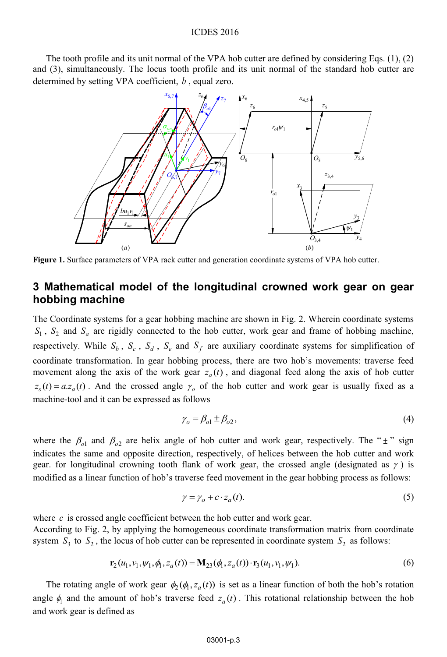#### ICDES 2016

The tooth profile and its unit normal of the VPA hob cutter are defined by considering Eqs.  $(1)$ ,  $(2)$ and (3), simultaneously. The locus tooth profile and its unit normal of the standard hob cutter are determined by setting VPA coefficient, *b* , equal zero.



**Figure 1.** Surface parameters of VPA rack cutter and generation coordinate systems of VPA hob cutter.

#### **3 Mathematical model of the longitudinal crowned work gear on gear hobbing machine**

The Coordinate systems for a gear hobbing machine are shown in Fig. 2. Wherein coordinate systems  $S_1$ ,  $S_2$  and  $S_a$  are rigidly connected to the hob cutter, work gear and frame of hobbing machine, respectively. While  $S_b$ ,  $S_c$ ,  $S_d$ ,  $S_e$  and  $S_f$  are auxiliary coordinate systems for simplification of coordinate transformation. In gear hobbing process, there are two hob's movements: traverse feed movement along the axis of the work gear  $z_a(t)$ , and diagonal feed along the axis of hob cutter  $z_s(t) = az_a(t)$ . And the crossed angle  $\gamma_o$  of the hob cutter and work gear is usually fixed as a machine-tool and it can be expressed as follows

$$
\gamma_o = \beta_{o1} \pm \beta_{o2},\tag{4}
$$

where the  $\beta_{01}$  and  $\beta_{02}$  are helix angle of hob cutter and work gear, respectively. The " $\pm$ " sign indicates the same and opposite direction, respectively, of helices between the hob cutter and work gear. for longitudinal crowning tooth flank of work gear, the crossed angle (designated as  $\gamma$ ) is modified as a linear function of hob's traverse feed movement in the gear hobbing process as follows:

$$
\gamma = \gamma_o + c \cdot z_a(t). \tag{5}
$$

where *c* is crossed angle coefficient between the hob cutter and work gear. According to Fig. 2, by applying the homogeneous coordinate transformation matrix from coordinate system  $S_3$  to  $S_2$ , the locus of hob cutter can be represented in coordinate system  $S_2$  as follows:

$$
\mathbf{r}_2(u_1, v_1, \psi_1, \phi_1, z_a(t)) = \mathbf{M}_{23}(\phi_1, z_a(t)) \cdot \mathbf{r}_3(u_1, v_1, \psi_1). \tag{6}
$$

The rotating angle of work gear  $\phi_2(\phi, z_a(t))$  is set as a linear function of both the hob's rotation angle  $\phi_1$  and the amount of hob's traverse feed  $z_a(t)$ . This rotational relationship between the hob and work gear is defined as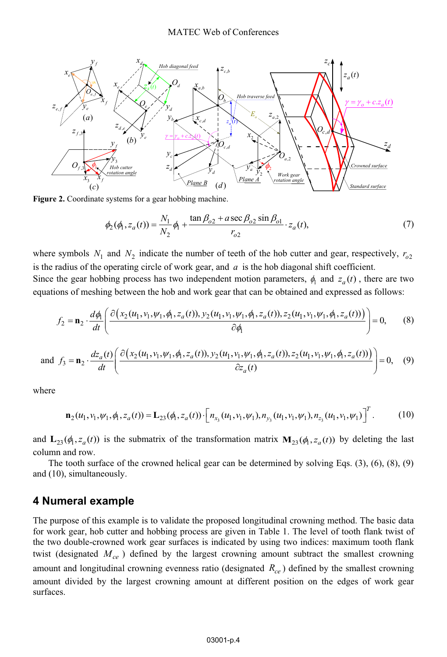

**Figure 2.** Coordinate systems for a gear hobbing machine.

$$
\phi_2(\phi_1, z_a(t)) = \frac{N_1}{N_2} \phi_1 + \frac{\tan \beta_{o2} + a \sec \beta_{o2} \sin \beta_{o1}}{r_{o2}} \cdot z_a(t),\tag{7}
$$

where symbols  $N_1$  and  $N_2$  indicate the number of teeth of the hob cutter and gear, respectively,  $r_{o2}$ is the radius of the operating circle of work gear, and *a* is the hob diagonal shift coefficient. Since the gear hobbing process has two independent motion parameters,  $\phi_1$  and  $z_a(t)$ , there are two equations of meshing between the hob and work gear that can be obtained and expressed as follows:

$$
f_2 = \mathbf{n}_2 \cdot \frac{d\phi_1}{dt} \left( \frac{\partial (x_2(u_1, v_1, \psi_1, \phi_1, z_a(t)), y_2(u_1, v_1, \psi_1, \phi_1, z_a(t)), z_2(u_1, v_1, \psi_1, \phi_1, z_a(t)))}{\partial \phi_1} \right) = 0, \quad (8)
$$

and 
$$
f_3 = \mathbf{n}_2 \cdot \frac{dz_a(t)}{dt} \left( \frac{\partial (x_2(u_1, v_1, \psi_1, \phi_1, z_a(t)), y_2(u_1, v_1, \psi_1, \phi_1, z_a(t)), z_2(u_1, v_1, \psi_1, \phi_1, z_a(t)))}{\partial z_a(t)} \right) = 0,
$$
 (9)

where

$$
\mathbf{n}_2(u_1, v_1, \psi_1, \phi_1, z_a(t)) = \mathbf{L}_{23}(\phi_1, z_a(t)) \cdot \left[ n_{x_3}(u_1, v_1, \psi_1), n_{y_3}(u_1, v_1, \psi_1), n_{z_3}(u_1, v_1, \psi_1) \right]^T.
$$
 (10)

and  $\mathbf{L}_{23}(\phi_1, z_a(t))$  is the submatrix of the transformation matrix  $\mathbf{M}_{23}(\phi_1, z_a(t))$  by deleting the last column and row.

The tooth surface of the crowned helical gear can be determined by solving Eqs.  $(3)$ ,  $(6)$ ,  $(8)$ ,  $(9)$ and (10), simultaneously.

### **4 Numeral example**

The purpose of this example is to validate the proposed longitudinal crowning method. The basic data for work gear, hob cutter and hobbing process are given in Table 1. The level of tooth flank twist of the two double-crowned work gear surfaces is indicated by using two indices: maximum tooth flank twist (designated  $M_{ce}$ ) defined by the largest crowning amount subtract the smallest crowning amount and longitudinal crowning evenness ratio (designated  $R_{ce}$ ) defined by the smallest crowning amount divided by the largest crowning amount at different position on the edges of work gear surfaces.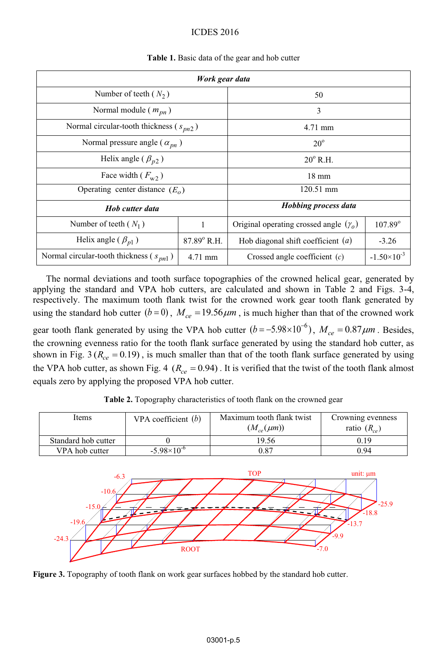#### ICDES 2016

| Work gear data                                |             |                                               |                      |  |  |
|-----------------------------------------------|-------------|-----------------------------------------------|----------------------|--|--|
| Number of teeth $(N_2)$                       |             | 50                                            |                      |  |  |
| Normal module ( $m_{pn}$ )                    |             | 3                                             |                      |  |  |
| Normal circular-tooth thickness ( $s_{pn2}$ ) |             | 4.71 mm                                       |                      |  |  |
| Normal pressure angle ( $\alpha_{pn}$ )       |             | $20^{\circ}$                                  |                      |  |  |
| Helix angle ( $\beta_{p2}$ )                  |             | $20^{\circ}$ R.H.                             |                      |  |  |
| Face width $(F_w)$                            |             | $18 \text{ mm}$                               |                      |  |  |
| Operating center distance $(E_0)$             |             | $120.51$ mm                                   |                      |  |  |
| Hob cutter data                               |             | <b>Hobbing process data</b>                   |                      |  |  |
| Number of teeth $(N_1)$                       | 1           | Original operating crossed angle $(\gamma_o)$ | $107.89^{\circ}$     |  |  |
| Helix angle ( $\beta_{p1}$ )                  | 87.89° R.H. | Hob diagonal shift coefficient $(a)$          | $-3.26$              |  |  |
| Normal circular-tooth thickness ( $s_{pn1}$ ) | 4.71 mm     | Crossed angle coefficient $(c)$               | $-1.50\times10^{-3}$ |  |  |

**Table 1.** Basic data of the gear and hob cutter

The normal deviations and tooth surface topographies of the crowned helical gear, generated by applying the standard and VPA hob cutters, are calculated and shown in Table 2 and Figs. 3-4, respectively. The maximum tooth flank twist for the crowned work gear tooth flank generated by using the standard hob cutter  $(b=0)$ ,  $M_{ce} = 19.56 \mu m$ , is much higher than that of the crowned work gear tooth flank generated by using the VPA hob cutter  $(b = -5.98 \times 10^{-6})$ ,  $M_{ce} = 0.87 \mu m$ . Besides, the crowning evenness ratio for the tooth flank surface generated by using the standard hob cutter, as shown in Fig. 3 ( $R_{ce} = 0.19$ ), is much smaller than that of the tooth flank surface generated by using the VPA hob cutter, as shown Fig. 4 ( $R_{ce} = 0.94$ ). It is verified that the twist of the tooth flank almost equals zero by applying the proposed VPA hob cutter.

**Table 2.** Topography characteristics of tooth flank on the crowned gear

| Items               | VPA coefficient $(b)$ | Maximum tooth flank twist<br>$(M_{ce}(\mu m))$ | Crowning evenness<br>ratio $(R_{\infty})$ |
|---------------------|-----------------------|------------------------------------------------|-------------------------------------------|
| Standard hob cutter |                       | 19.56                                          | 0.19                                      |
| VPA hob cutter      | $-5.98\times10^{-6}$  | $_{0.87}$                                      | 0.94                                      |



**Figure 3.** Topography of tooth flank on work gear surfaces hobbed by the standard hob cutter.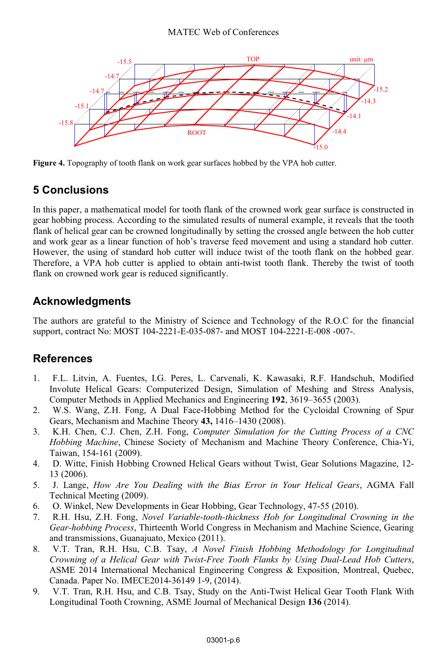

**Figure 4.** Topography of tooth flank on work gear surfaces hobbed by the VPA hob cutter.

# **5 Conclusions**

In this paper, a mathematical model for tooth flank of the crowned work gear surface is constructed in gear hobbing process. According to the simulated results of numeral example, it reveals that the tooth flank of helical gear can be crowned longitudinally by setting the crossed angle between the hob cutter and work gear as a linear function of hob's traverse feed movement and using a standard hob cutter. However, the using of standard hob cutter will induce twist of the tooth flank on the hobbed gear. Therefore, a VPA hob cutter is applied to obtain anti-twist tooth flank. Thereby the twist of tooth flank on crowned work gear is reduced significantly.

# **Acknowledgments**

The authors are grateful to the Ministry of Science and Technology of the R.O.C for the financial support, contract No: MOST 104-2221-E-035-087- and MOST 104-2221-E-008 -007-.

## **References**

- 1. F.L. Litvin, A. Fuentes, I.G. Peres, L. Carvenali, K. Kawasaki, R.F. Handschuh, Modified Involute Helical Gears: Computerized Design, Simulation of Meshing and Stress Analysis, Computer Methods in Applied Mechanics and Engineering **192**, 3619–3655 (2003).
- 2. W.S. Wang, Z.H. Fong, A Dual Face-Hobbing Method for the Cycloidal Crowning of Spur Gears, Mechanism and Machine Theory **43,** 1416–1430 (2008).
- 3. K.H. Chen, C.J. Chen, Z.H. Fong, *Computer Simulation for the Cutting Process of a CNC Hobbing Machine*, Chinese Society of Mechanism and Machine Theory Conference, Chia-Yi, Taiwan, 154-161 (2009).
- 4. D. Witte, Finish Hobbing Crowned Helical Gears without Twist, Gear Solutions Magazine, 12- 13 (2006).
- 5. J. Lange, *How Are You Dealing with the Bias Error in Your Helical Gears*, AGMA Fall Technical Meeting (2009).
- 6. O. Winkel, New Developments in Gear Hobbing, Gear Technology, 47-55 (2010).
- 7. R.H. Hsu, Z.H. Fong, *Novel Variable-tooth-thickness Hob for Longitudinal Crowning in the Gear-hobbing Process*, Thirteenth World Congress in Mechanism and Machine Science, Gearing and transmissions, Guanajuato, Mexico (2011).
- 8. V.T. Tran, R.H. Hsu, C.B. Tsay, *A Novel Finish Hobbing Methodology for Longitudinal Crowning of a Helical Gear with Twist-Free Tooth Flanks by Using Dual-Lead Hob Cutters*, ASME 2014 International Mechanical Engineering Congress & Exposition, Montreal, Quebec, Canada. Paper No. IMECE2014-36149 1-9, (2014).
- 9. V.T. Tran, R.H. Hsu, and C.B. Tsay, Study on the Anti-Twist Helical Gear Tooth Flank With Longitudinal Tooth Crowning, ASME Journal of Mechanical Design **136** (2014).